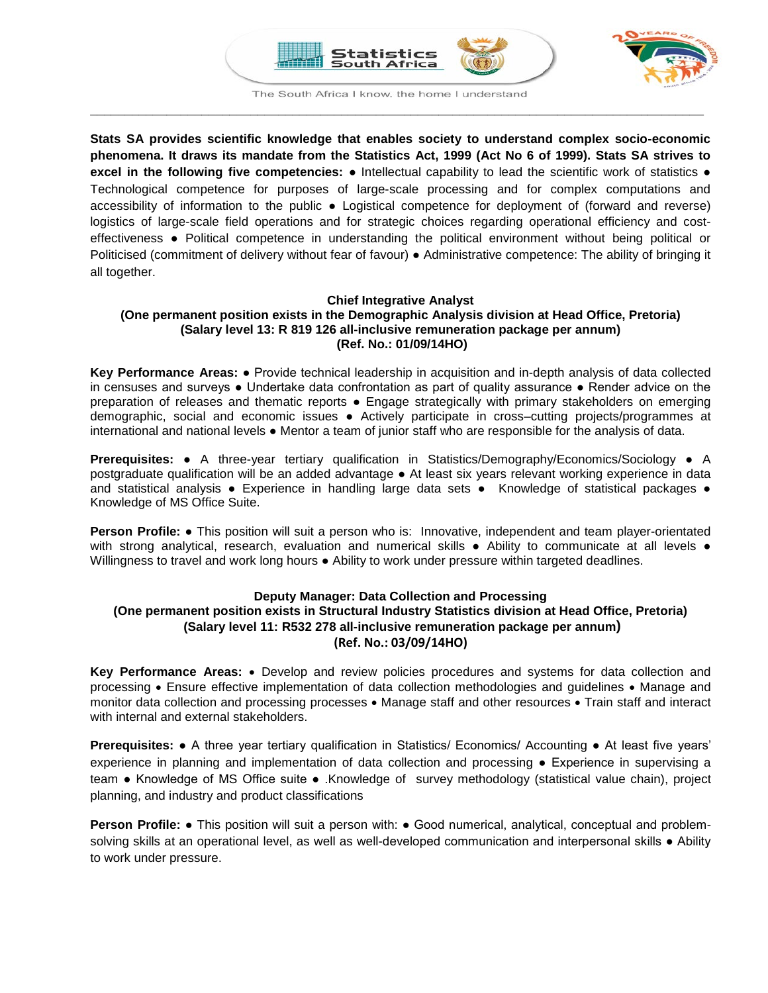



The South Africa I know, the home I understand **\_\_\_\_\_\_\_\_\_\_\_\_\_\_\_\_\_\_\_\_\_\_\_\_\_\_\_\_\_\_\_\_\_\_\_\_\_\_\_\_\_\_\_\_\_\_\_\_\_\_\_\_\_\_\_\_\_\_\_\_\_\_\_\_\_\_\_\_\_\_\_\_\_\_\_\_\_\_\_\_\_\_\_\_\_\_\_\_**

**Stats SA provides scientific knowledge that enables society to understand complex socio-economic phenomena. It draws its mandate from the Statistics Act, 1999 (Act No 6 of 1999). Stats SA strives to excel in the following five competencies:** ● Intellectual capability to lead the scientific work of statistics ● Technological competence for purposes of large-scale processing and for complex computations and accessibility of information to the public . Logistical competence for deployment of (forward and reverse) logistics of large-scale field operations and for strategic choices regarding operational efficiency and costeffectiveness ● Political competence in understanding the political environment without being political or Politicised (commitment of delivery without fear of favour) ● Administrative competence: The ability of bringing it all together.

## **Chief Integrative Analyst**

## **(One permanent position exists in the Demographic Analysis division at Head Office, Pretoria) (Salary level 13: R 819 126 all-inclusive remuneration package per annum) (Ref. No.: 01/09/14HO)**

**Key Performance Areas:** ● Provide technical leadership in acquisition and in-depth analysis of data collected in censuses and surveys ● Undertake data confrontation as part of quality assurance ● Render advice on the preparation of releases and thematic reports ● Engage strategically with primary stakeholders on emerging demographic, social and economic issues ● Actively participate in cross–cutting projects/programmes at international and national levels ● Mentor a team of junior staff who are responsible for the analysis of data.

**Prerequisites:** ● A three-year tertiary qualification in Statistics/Demography/Economics/Sociology ● A postgraduate qualification will be an added advantage ● At least six years relevant working experience in data and statistical analysis • Experience in handling large data sets • Knowledge of statistical packages • Knowledge of MS Office Suite.

**Person Profile:** ● This position will suit a person who is: Innovative, independent and team player-orientated with strong analytical, research, evaluation and numerical skills • Ability to communicate at all levels • Willingness to travel and work long hours ● Ability to work under pressure within targeted deadlines.

## **Deputy Manager: Data Collection and Processing (One permanent position exists in Structural Industry Statistics division at Head Office, Pretoria) (Salary level 11: R532 278 all-inclusive remuneration package per annum) (Ref. No.: 03/09/14HO)**

**Key Performance Areas:** • Develop and review policies procedures and systems for data collection and processing • Ensure effective implementation of data collection methodologies and guidelines • Manage and monitor data collection and processing processes • Manage staff and other resources • Train staff and interact with internal and external stakeholders.

**Prerequisites:** ● A three year tertiary qualification in Statistics/ Economics/ Accounting ● At least five years' experience in planning and implementation of data collection and processing ● Experience in supervising a team ● Knowledge of MS Office suite ● .Knowledge of survey methodology (statistical value chain), project planning, and industry and product classifications

**Person Profile:** • This position will suit a person with: • Good numerical, analytical, conceptual and problemsolving skills at an operational level, as well as well-developed communication and interpersonal skills • Ability to work under pressure.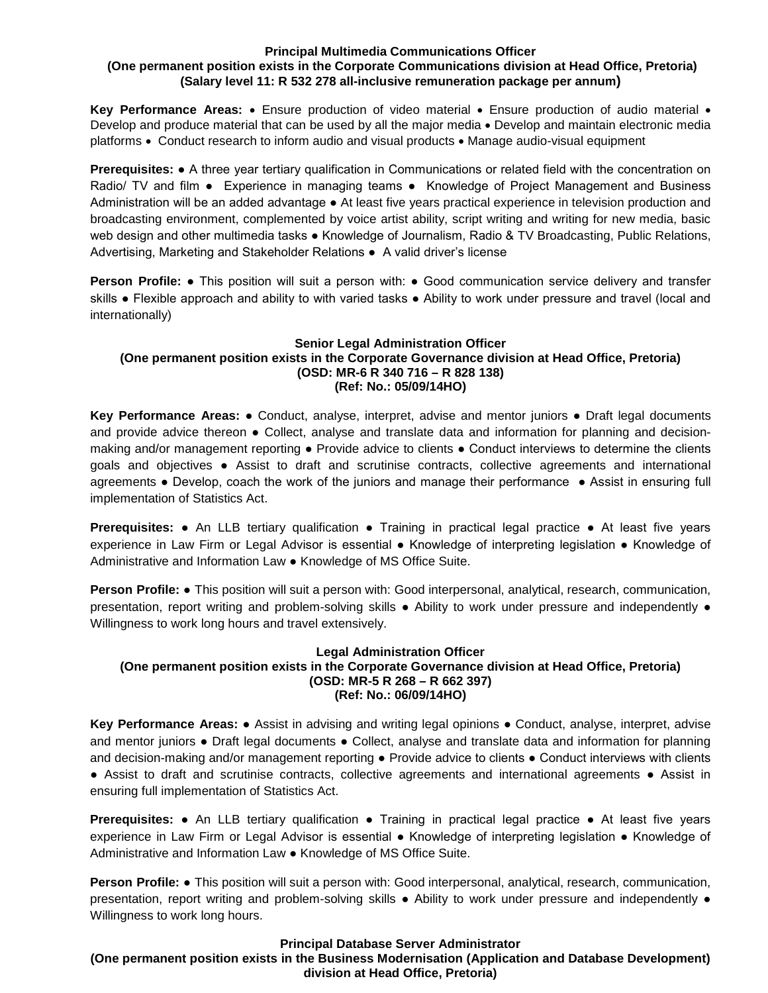## **Principal Multimedia Communications Officer (One permanent position exists in the Corporate Communications division at Head Office, Pretoria) (Salary level 11: R 532 278 all-inclusive remuneration package per annum)**

**Key Performance Areas:** • Ensure production of video material • Ensure production of audio material • Develop and produce material that can be used by all the major media • Develop and maintain electronic media platforms • Conduct research to inform audio and visual products • Manage audio-visual equipment

**Prerequisites:** ● A three year tertiary qualification in Communications or related field with the concentration on Radio/ TV and film • Experience in managing teams • Knowledge of Project Management and Business Administration will be an added advantage ● At least five years practical experience in television production and broadcasting environment, complemented by voice artist ability, script writing and writing for new media, basic web design and other multimedia tasks ● Knowledge of Journalism, Radio & TV Broadcasting, Public Relations, Advertising, Marketing and Stakeholder Relations ● A valid driver's license

**Person Profile:** • This position will suit a person with: • Good communication service delivery and transfer skills ● Flexible approach and ability to with varied tasks ● Ability to work under pressure and travel (local and internationally)

## **Senior Legal Administration Officer (One permanent position exists in the Corporate Governance division at Head Office, Pretoria) (OSD: MR-6 R 340 716 – R 828 138) (Ref: No.: 05/09/14HO)**

**Key Performance Areas:** ● Conduct, analyse, interpret, advise and mentor juniors ● Draft legal documents and provide advice thereon • Collect, analyse and translate data and information for planning and decisionmaking and/or management reporting ● Provide advice to clients ● Conduct interviews to determine the clients goals and objectives ● Assist to draft and scrutinise contracts, collective agreements and international agreements ● Develop, coach the work of the juniors and manage their performance ● Assist in ensuring full implementation of Statistics Act.

**Prerequisites: •** An LLB tertiary qualification • Training in practical legal practice • At least five years experience in Law Firm or Legal Advisor is essential ● Knowledge of interpreting legislation ● Knowledge of Administrative and Information Law ● Knowledge of MS Office Suite.

**Person Profile:** ● This position will suit a person with: Good interpersonal, analytical, research, communication, presentation, report writing and problem-solving skills ● Ability to work under pressure and independently ● Willingness to work long hours and travel extensively.

## **Legal Administration Officer (One permanent position exists in the Corporate Governance division at Head Office, Pretoria) (OSD: MR-5 R 268 – R 662 397) (Ref: No.: 06/09/14HO)**

**Key Performance Areas:** ● Assist in advising and writing legal opinions ● Conduct, analyse, interpret, advise and mentor juniors ● Draft legal documents ● Collect, analyse and translate data and information for planning and decision-making and/or management reporting • Provide advice to clients • Conduct interviews with clients ● Assist to draft and scrutinise contracts, collective agreements and international agreements ● Assist in ensuring full implementation of Statistics Act.

**Prerequisites: •** An LLB tertiary qualification • Training in practical legal practice • At least five years experience in Law Firm or Legal Advisor is essential ● Knowledge of interpreting legislation ● Knowledge of Administrative and Information Law ● Knowledge of MS Office Suite.

**Person Profile:** ● This position will suit a person with: Good interpersonal, analytical, research, communication, presentation, report writing and problem-solving skills ● Ability to work under pressure and independently ● Willingness to work long hours.

# **Principal Database Server Administrator**

**(One permanent position exists in the Business Modernisation (Application and Database Development) division at Head Office, Pretoria)**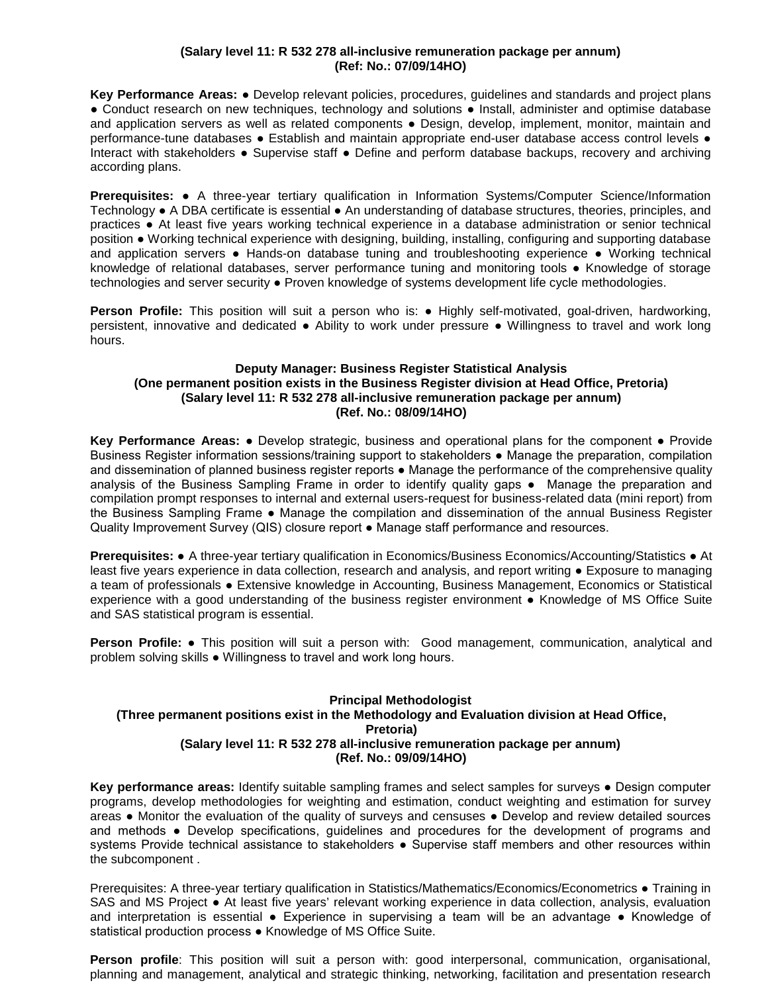## **(Salary level 11: R 532 278 all-inclusive remuneration package per annum) (Ref: No.: 07/09/14HO)**

**Key Performance Areas:** ● Develop relevant policies, procedures, guidelines and standards and project plans ● Conduct research on new techniques, technology and solutions ● Install, administer and optimise database and application servers as well as related components • Design, develop, implement, monitor, maintain and performance-tune databases ● Establish and maintain appropriate end-user database access control levels ● Interact with stakeholders ● Supervise staff ● Define and perform database backups, recovery and archiving according plans.

**Prerequisites:** ● A three-year tertiary qualification in Information Systems/Computer Science/Information Technology ● A DBA certificate is essential ● An understanding of database structures, theories, principles, and practices ● At least five years working technical experience in a database administration or senior technical position ● Working technical experience with designing, building, installing, configuring and supporting database and application servers ● Hands-on database tuning and troubleshooting experience ● Working technical knowledge of relational databases, server performance tuning and monitoring tools ● Knowledge of storage technologies and server security . Proven knowledge of systems development life cycle methodologies.

**Person Profile:** This position will suit a person who is: ● Highly self-motivated, goal-driven, hardworking, persistent, innovative and dedicated ● Ability to work under pressure ● Willingness to travel and work long hours.

## **Deputy Manager: Business Register Statistical Analysis (One permanent position exists in the Business Register division at Head Office, Pretoria) (Salary level 11: R 532 278 all-inclusive remuneration package per annum) (Ref. No.: 08/09/14HO)**

**Key Performance Areas:** ● Develop strategic, business and operational plans for the component ● Provide Business Register information sessions/training support to stakeholders ● Manage the preparation, compilation and dissemination of planned business register reports ● Manage the performance of the comprehensive quality analysis of the Business Sampling Frame in order to identify quality gaps • Manage the preparation and compilation prompt responses to internal and external users-request for business-related data (mini report) from the Business Sampling Frame ● Manage the compilation and dissemination of the annual Business Register Quality Improvement Survey (QIS) closure report ● Manage staff performance and resources.

**Prerequisites:** ● A three-year tertiary qualification in Economics/Business Economics/Accounting/Statistics ● At least five years experience in data collection, research and analysis, and report writing ● Exposure to managing a team of professionals ● Extensive knowledge in Accounting, Business Management, Economics or Statistical experience with a good understanding of the business register environment ● Knowledge of MS Office Suite and SAS statistical program is essential.

**Person Profile:** ● This position will suit a person with: Good management, communication, analytical and problem solving skills ● Willingness to travel and work long hours.

### **Principal Methodologist (Three permanent positions exist in the Methodology and Evaluation division at Head Office, Pretoria) (Salary level 11: R 532 278 all-inclusive remuneration package per annum) (Ref. No.: 09/09/14HO)**

**Key performance areas:** Identify suitable sampling frames and select samples for surveys ● Design computer programs, develop methodologies for weighting and estimation, conduct weighting and estimation for survey areas ● Monitor the evaluation of the quality of surveys and censuses ● Develop and review detailed sources and methods ● Develop specifications, guidelines and procedures for the development of programs and systems Provide technical assistance to stakeholders • Supervise staff members and other resources within the subcomponent .

Prerequisites: A three-year tertiary qualification in Statistics/Mathematics/Economics/Econometrics ● Training in SAS and MS Project ● At least five years' relevant working experience in data collection, analysis, evaluation and interpretation is essential • Experience in supervising a team will be an advantage • Knowledge of statistical production process ● Knowledge of MS Office Suite.

**Person profile**: This position will suit a person with: good interpersonal, communication, organisational, planning and management, analytical and strategic thinking, networking, facilitation and presentation research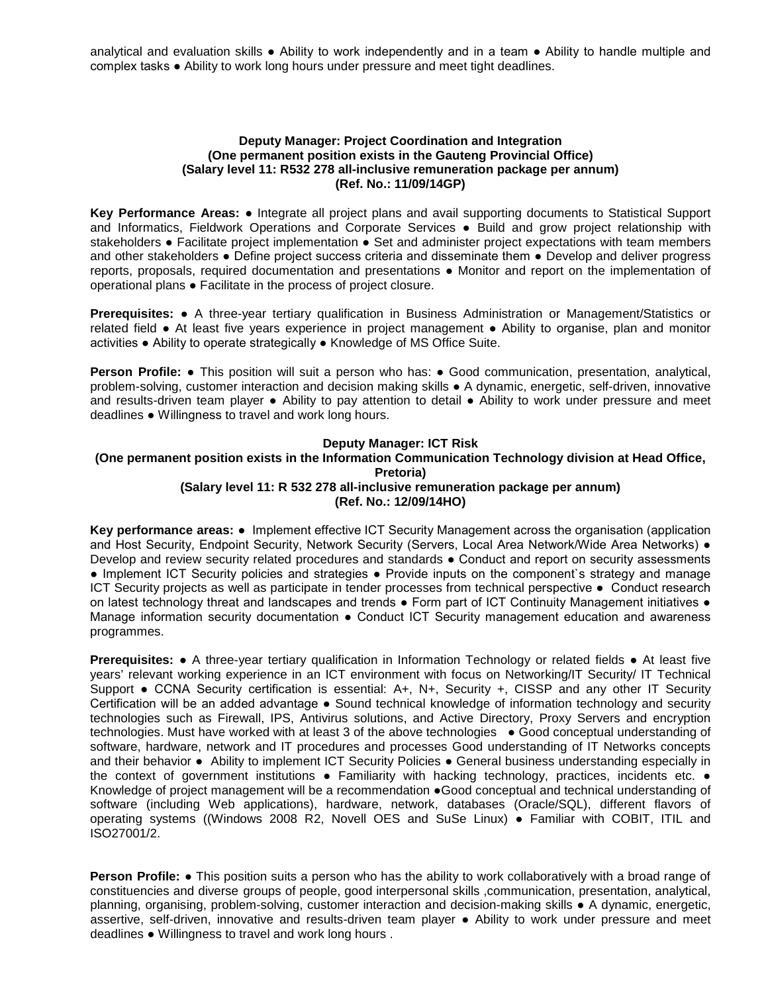analytical and evaluation skills ● Ability to work independently and in a team ● Ability to handle multiple and complex tasks ● Ability to work long hours under pressure and meet tight deadlines.

### **Deputy Manager: Project Coordination and Integration (One permanent position exists in the Gauteng Provincial Office) (Salary level 11: R532 278 all-inclusive remuneration package per annum) (Ref. No.: 11/09/14GP)**

**Key Performance Areas:** ● Integrate all project plans and avail supporting documents to Statistical Support and Informatics, Fieldwork Operations and Corporate Services ● Build and grow project relationship with stakeholders ● Facilitate project implementation ● Set and administer project expectations with team members and other stakeholders ● Define project success criteria and disseminate them ● Develop and deliver progress reports, proposals, required documentation and presentations ● Monitor and report on the implementation of operational plans ● Facilitate in the process of project closure.

**Prerequisites:** ● A three-year tertiary qualification in Business Administration or Management/Statistics or related field ● At least five years experience in project management ● Ability to organise, plan and monitor activities ● Ability to operate strategically ● Knowledge of MS Office Suite.

**Person Profile: •** This position will suit a person who has: • Good communication, presentation, analytical, problem-solving, customer interaction and decision making skills ● A dynamic, energetic, self-driven, innovative and results-driven team player • Ability to pay attention to detail • Ability to work under pressure and meet deadlines ● Willingness to travel and work long hours.

### **Deputy Manager: ICT Risk**

### **(One permanent position exists in the Information Communication Technology division at Head Office, Pretoria)**

## **(Salary level 11: R 532 278 all-inclusive remuneration package per annum) (Ref. No.: 12/09/14HO)**

**Key performance areas:** ● Implement effective ICT Security Management across the organisation (application and Host Security, Endpoint Security, Network Security (Servers, Local Area Network/Wide Area Networks) • Develop and review security related procedures and standards ● Conduct and report on security assessments ● Implement ICT Security policies and strategies ● Provide inputs on the component's strategy and manage ICT Security projects as well as participate in tender processes from technical perspective ● Conduct research on latest technology threat and landscapes and trends ● Form part of ICT Continuity Management initiatives ● Manage information security documentation • Conduct ICT Security management education and awareness programmes.

**Prerequisites: •** A three-year tertiary qualification in Information Technology or related fields • At least five years' relevant working experience in an ICT environment with focus on Networking/IT Security/ IT Technical Support ● CCNA Security certification is essential: A+, N+, Security +, CISSP and any other IT Security Certification will be an added advantage ● Sound technical knowledge of information technology and security technologies such as Firewall, IPS, Antivirus solutions, and Active Directory, Proxy Servers and encryption technologies. Must have worked with at least 3 of the above technologies ● Good conceptual understanding of software, hardware, network and IT procedures and processes Good understanding of IT Networks concepts and their behavior ● Ability to implement ICT Security Policies ● General business understanding especially in the context of government institutions • Familiarity with hacking technology, practices, incidents etc. • Knowledge of project management will be a recommendation ●Good conceptual and technical understanding of software (including Web applications), hardware, network, databases (Oracle/SQL), different flavors of operating systems ((Windows 2008 R2, Novell OES and SuSe Linux) ● Familiar with COBIT, ITIL and ISO27001/2.

**Person Profile: ●** This position suits a person who has the ability to work collaboratively with a broad range of constituencies and diverse groups of people, good interpersonal skills ,communication, presentation, analytical, planning, organising, problem-solving, customer interaction and decision-making skills ● A dynamic, energetic, assertive, self-driven, innovative and results-driven team player ● Ability to work under pressure and meet deadlines ● Willingness to travel and work long hours .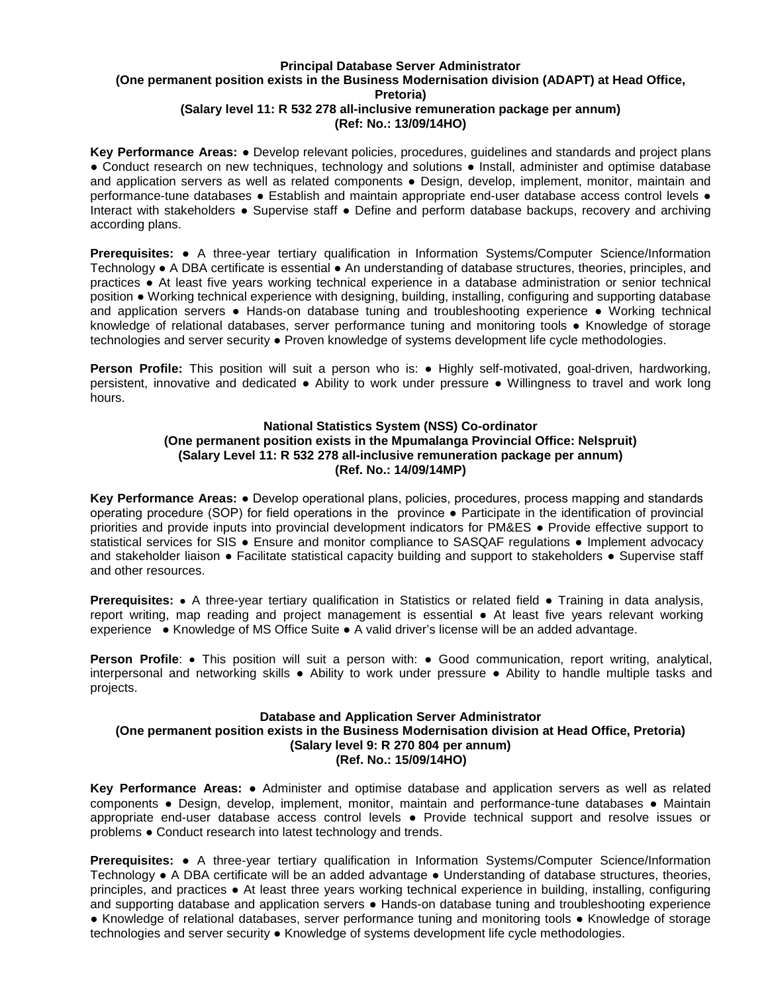## **Principal Database Server Administrator (One permanent position exists in the Business Modernisation division (ADAPT) at Head Office, Pretoria) (Salary level 11: R 532 278 all-inclusive remuneration package per annum) (Ref: No.: 13/09/14HO)**

**Key Performance Areas:** ● Develop relevant policies, procedures, guidelines and standards and project plans ● Conduct research on new techniques, technology and solutions ● Install, administer and optimise database and application servers as well as related components • Design, develop, implement, monitor, maintain and performance-tune databases ● Establish and maintain appropriate end-user database access control levels ● Interact with stakeholders ● Supervise staff ● Define and perform database backups, recovery and archiving according plans.

**Prerequisites:** ● A three-year tertiary qualification in Information Systems/Computer Science/Information Technology ● A DBA certificate is essential ● An understanding of database structures, theories, principles, and practices ● At least five years working technical experience in a database administration or senior technical position ● Working technical experience with designing, building, installing, configuring and supporting database and application servers ● Hands-on database tuning and troubleshooting experience ● Working technical knowledge of relational databases, server performance tuning and monitoring tools ● Knowledge of storage technologies and server security ● Proven knowledge of systems development life cycle methodologies.

**Person Profile:** This position will suit a person who is: ● Highly self-motivated, goal-driven, hardworking, persistent, innovative and dedicated ● Ability to work under pressure ● Willingness to travel and work long hours.

#### **National Statistics System (NSS) Co-ordinator**

## **(One permanent position exists in the Mpumalanga Provincial Office: Nelspruit) (Salary Level 11: R 532 278 all-inclusive remuneration package per annum) (Ref. No.: 14/09/14MP)**

**Key Performance Areas:** ● Develop operational plans, policies, procedures, process mapping and standards operating procedure (SOP) for field operations in the province • Participate in the identification of provincial priorities and provide inputs into provincial development indicators for PM&ES ● Provide effective support to statistical services for SIS • Ensure and monitor compliance to SASQAF regulations • Implement advocacy and stakeholder liaison • Facilitate statistical capacity building and support to stakeholders • Supervise staff and other resources.

**Prerequisites:** • A three-year tertiary qualification in Statistics or related field ● Training in data analysis, report writing, map reading and project management is essential ● At least five years relevant working experience ● Knowledge of MS Office Suite ● A valid driver's license will be an added advantage.

**Person Profile:** • This position will suit a person with: • Good communication, report writing, analytical, interpersonal and networking skills ● Ability to work under pressure ● Ability to handle multiple tasks and projects.

## **Database and Application Server Administrator (One permanent position exists in the Business Modernisation division at Head Office, Pretoria) (Salary level 9: R 270 804 per annum) (Ref. No.: 15/09/14HO)**

**Key Performance Areas:** ● Administer and optimise database and application servers as well as related components ● Design, develop, implement, monitor, maintain and performance-tune databases ● Maintain appropriate end-user database access control levels ● Provide technical support and resolve issues or problems ● Conduct research into latest technology and trends.

**Prerequisites:** ● A three-year tertiary qualification in Information Systems/Computer Science/Information Technology ● A DBA certificate will be an added advantage ● Understanding of database structures, theories, principles, and practices ● At least three years working technical experience in building, installing, configuring and supporting database and application servers • Hands-on database tuning and troubleshooting experience ● Knowledge of relational databases, server performance tuning and monitoring tools ● Knowledge of storage technologies and server security ● Knowledge of systems development life cycle methodologies.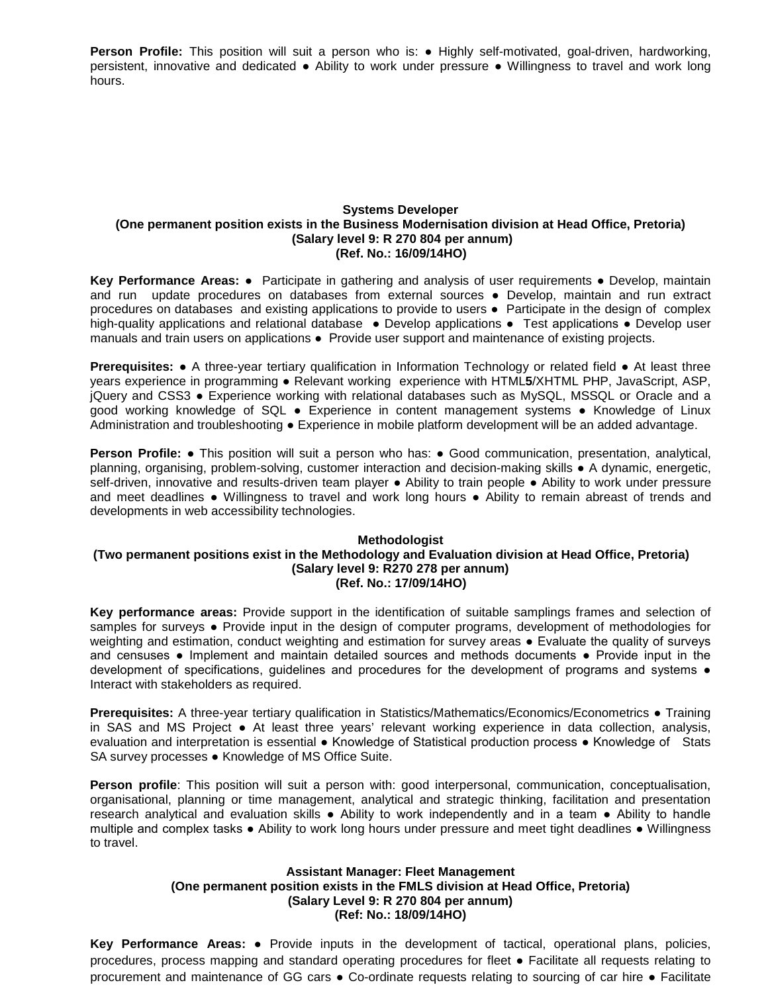**Person Profile:** This position will suit a person who is: ● Highly self-motivated, goal-driven, hardworking, persistent, innovative and dedicated ● Ability to work under pressure ● Willingness to travel and work long hours.

## **Systems Developer (One permanent position exists in the Business Modernisation division at Head Office, Pretoria) (Salary level 9: R 270 804 per annum) (Ref. No.: 16/09/14HO)**

**Key Performance Areas:** ● Participate in gathering and analysis of user requirements ● Develop, maintain and run update procedures on databases from external sources ● Develop, maintain and run extract procedures on databases and existing applications to provide to users ● Participate in the design of complex high-quality applications and relational database • Develop applications • Test applications • Develop user manuals and train users on applications ● Provide user support and maintenance of existing projects.

**Prerequisites:** ● A three-year tertiary qualification in Information Technology or related field ● At least three years experience in programming ● Relevant working experience with HTML**5**/XHTML PHP, JavaScript, ASP, jQuery and CSS3 ● Experience working with relational databases such as MySQL, MSSQL or Oracle and a good working knowledge of SQL ● Experience in content management systems ● Knowledge of Linux Administration and troubleshooting ● Experience in mobile platform development will be an added advantage.

**Person Profile: •** This position will suit a person who has: • Good communication, presentation, analytical, planning, organising, problem-solving, customer interaction and decision-making skills ● A dynamic, energetic, self-driven, innovative and results-driven team player • Ability to train people • Ability to work under pressure and meet deadlines • Willingness to travel and work long hours • Ability to remain abreast of trends and developments in web accessibility technologies.

## **Methodologist (Two permanent positions exist in the Methodology and Evaluation division at Head Office, Pretoria) (Salary level 9: R270 278 per annum) (Ref. No.: 17/09/14HO)**

**Key performance areas:** Provide support in the identification of suitable samplings frames and selection of samples for surveys • Provide input in the design of computer programs, development of methodologies for weighting and estimation, conduct weighting and estimation for survey areas ● Evaluate the quality of surveys and censuses ● Implement and maintain detailed sources and methods documents ● Provide input in the development of specifications, guidelines and procedures for the development of programs and systems ● Interact with stakeholders as required.

**Prerequisites:** A three-year tertiary qualification in Statistics/Mathematics/Economics/Econometrics ● Training in SAS and MS Project ● At least three years' relevant working experience in data collection, analysis, evaluation and interpretation is essential ● Knowledge of Statistical production process ● Knowledge of Stats SA survey processes ● Knowledge of MS Office Suite.

**Person profile**: This position will suit a person with: good interpersonal, communication, conceptualisation, organisational, planning or time management, analytical and strategic thinking, facilitation and presentation research analytical and evaluation skills • Ability to work independently and in a team • Ability to handle multiple and complex tasks ● Ability to work long hours under pressure and meet tight deadlines ● Willingness to travel.

## **Assistant Manager: Fleet Management (One permanent position exists in the FMLS division at Head Office, Pretoria) (Salary Level 9: R 270 804 per annum) (Ref: No.: 18/09/14HO)**

**Key Performance Areas:** ● Provide inputs in the development of tactical, operational plans, policies, procedures, process mapping and standard operating procedures for fleet ● Facilitate all requests relating to procurement and maintenance of GG cars ● Co-ordinate requests relating to sourcing of car hire ● Facilitate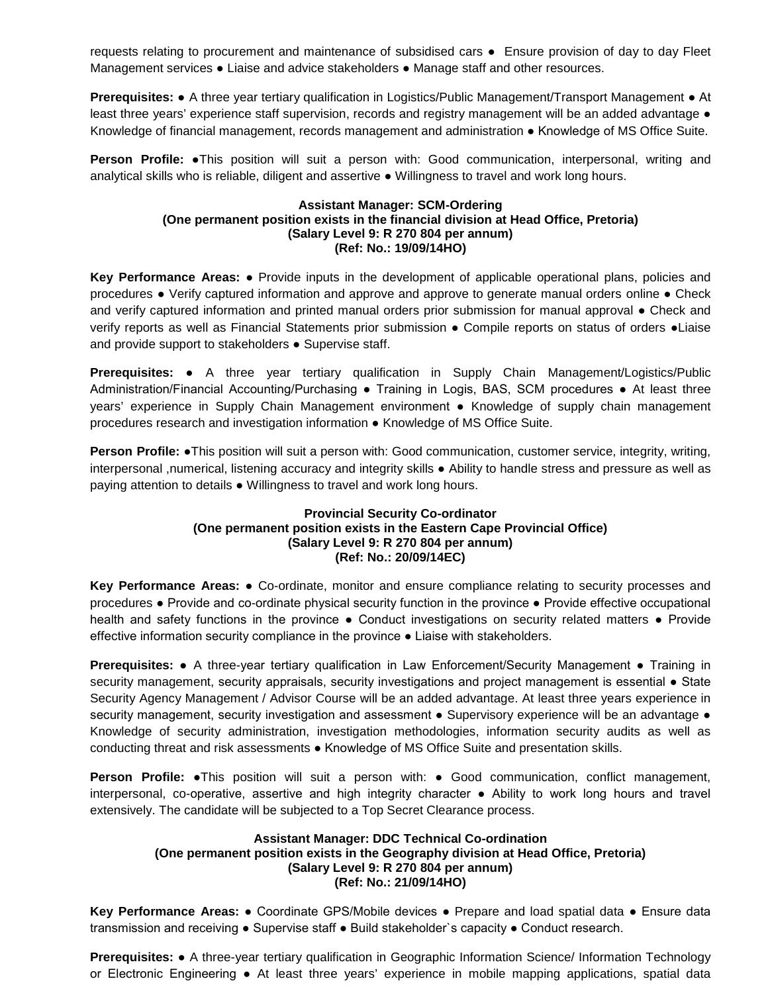requests relating to procurement and maintenance of subsidised cars ● Ensure provision of day to day Fleet Management services ● Liaise and advice stakeholders ● Manage staff and other resources.

**Prerequisites:** ● A three year tertiary qualification in Logistics/Public Management/Transport Management ● At least three years' experience staff supervision, records and registry management will be an added advantage  $\bullet$ Knowledge of financial management, records management and administration ● Knowledge of MS Office Suite.

**Person Profile: •This position will suit a person with: Good communication, interpersonal, writing and** analytical skills who is reliable, diligent and assertive ● Willingness to travel and work long hours.

## **Assistant Manager: SCM-Ordering (One permanent position exists in the financial division at Head Office, Pretoria) (Salary Level 9: R 270 804 per annum) (Ref: No.: 19/09/14HO)**

**Key Performance Areas:** ● Provide inputs in the development of applicable operational plans, policies and procedures ● Verify captured information and approve and approve to generate manual orders online ● Check and verify captured information and printed manual orders prior submission for manual approval • Check and verify reports as well as Financial Statements prior submission ● Compile reports on status of orders ●Liaise and provide support to stakeholders ● Supervise staff.

**Prerequisites:** ● A three year tertiary qualification in Supply Chain Management/Logistics/Public Administration/Financial Accounting/Purchasing ● Training in Logis, BAS, SCM procedures ● At least three years' experience in Supply Chain Management environment ● Knowledge of supply chain management procedures research and investigation information ● Knowledge of MS Office Suite.

**Person Profile:** ●This position will suit a person with: Good communication, customer service, integrity, writing, interpersonal ,numerical, listening accuracy and integrity skills ● Ability to handle stress and pressure as well as paying attention to details ● Willingness to travel and work long hours.

## **Provincial Security Co-ordinator (One permanent position exists in the Eastern Cape Provincial Office) (Salary Level 9: R 270 804 per annum) (Ref: No.: 20/09/14EC)**

**Key Performance Areas:** ● Co-ordinate, monitor and ensure compliance relating to security processes and procedures ● Provide and co-ordinate physical security function in the province ● Provide effective occupational health and safety functions in the province • Conduct investigations on security related matters • Provide effective information security compliance in the province ● Liaise with stakeholders.

**Prerequisites:** ● A three-year tertiary qualification in Law Enforcement/Security Management ● Training in security management, security appraisals, security investigations and project management is essential • State Security Agency Management / Advisor Course will be an added advantage. At least three years experience in security management, security investigation and assessment • Supervisory experience will be an advantage • Knowledge of security administration, investigation methodologies, information security audits as well as conducting threat and risk assessments • Knowledge of MS Office Suite and presentation skills.

**Person Profile:** ●This position will suit a person with: ● Good communication, conflict management, interpersonal, co-operative, assertive and high integrity character ● Ability to work long hours and travel extensively. The candidate will be subjected to a Top Secret Clearance process.

## **Assistant Manager: DDC Technical Co-ordination (One permanent position exists in the Geography division at Head Office, Pretoria) (Salary Level 9: R 270 804 per annum) (Ref: No.: 21/09/14HO)**

**Key Performance Areas:** ● Coordinate GPS/Mobile devices ● Prepare and load spatial data ● Ensure data transmission and receiving ● Supervise staff ● Build stakeholder`s capacity ● Conduct research.

**Prerequisites:** ● A three-year tertiary qualification in Geographic Information Science/ Information Technology or Electronic Engineering ● At least three years' experience in mobile mapping applications, spatial data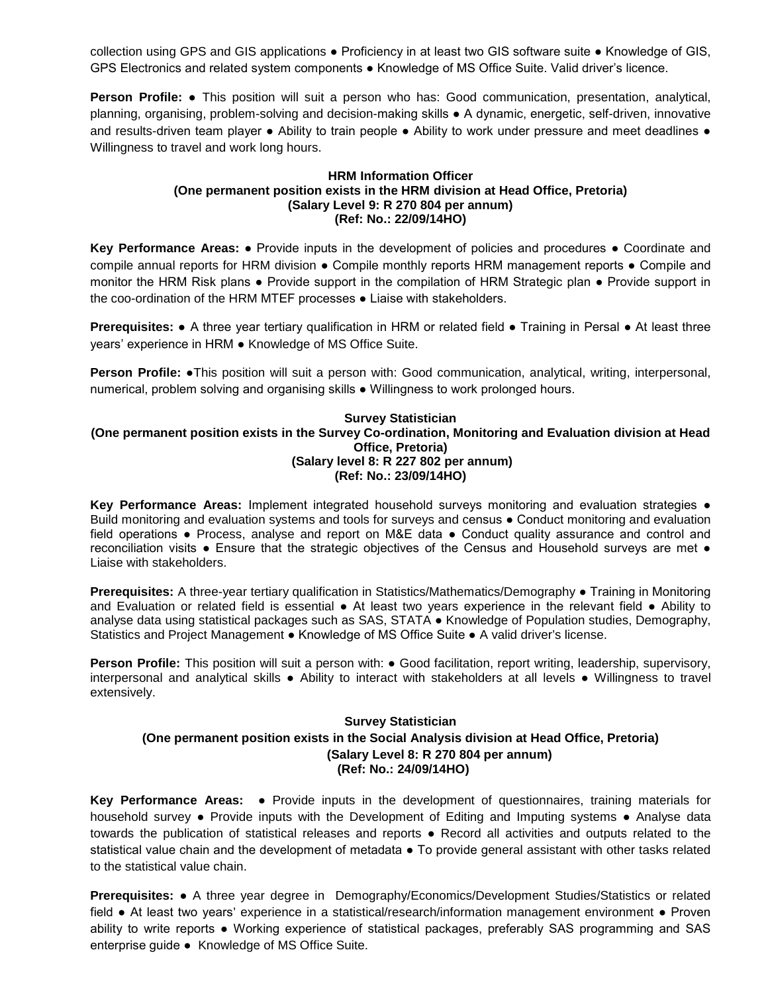collection using GPS and GIS applications ● Proficiency in at least two GIS software suite ● Knowledge of GIS, GPS Electronics and related system components ● Knowledge of MS Office Suite. Valid driver's licence.

**Person Profile:** ● This position will suit a person who has: Good communication, presentation, analytical, planning, organising, problem-solving and decision-making skills ● A dynamic, energetic, self-driven, innovative and results-driven team player • Ability to train people • Ability to work under pressure and meet deadlines • Willingness to travel and work long hours.

## **HRM Information Officer (One permanent position exists in the HRM division at Head Office, Pretoria) (Salary Level 9: R 270 804 per annum) (Ref: No.: 22/09/14HO)**

**Key Performance Areas:** ● Provide inputs in the development of policies and procedures ● Coordinate and compile annual reports for HRM division ● Compile monthly reports HRM management reports ● Compile and monitor the HRM Risk plans ● Provide support in the compilation of HRM Strategic plan ● Provide support in the coo-ordination of the HRM MTEF processes ● Liaise with stakeholders.

**Prerequisites:** • A three year tertiary qualification in HRM or related field • Training in Persal • At least three years' experience in HRM ● Knowledge of MS Office Suite.

**Person Profile:** ●This position will suit a person with: Good communication, analytical, writing, interpersonal, numerical, problem solving and organising skills ● Willingness to work prolonged hours.

## **Survey Statistician (One permanent position exists in the Survey Co-ordination, Monitoring and Evaluation division at Head Office, Pretoria) (Salary level 8: R 227 802 per annum) (Ref: No.: 23/09/14HO)**

**Key Performance Areas: Implement integrated household surveys monitoring and evaluation strategies ●** Build monitoring and evaluation systems and tools for surveys and census ● Conduct monitoring and evaluation field operations ● Process, analyse and report on M&E data ● Conduct quality assurance and control and reconciliation visits ● Ensure that the strategic objectives of the Census and Household surveys are met ● Liaise with stakeholders.

**Prerequisites:** A three-year tertiary qualification in Statistics/Mathematics/Demography ● Training in Monitoring and Evaluation or related field is essential ● At least two years experience in the relevant field ● Ability to analyse data using statistical packages such as SAS, STATA ● Knowledge of Population studies, Demography, Statistics and Project Management ● Knowledge of MS Office Suite ● A valid driver's license.

**Person Profile:** This position will suit a person with: ● Good facilitation, report writing, leadership, supervisory, interpersonal and analytical skills ● Ability to interact with stakeholders at all levels ● Willingness to travel extensively.

# **Survey Statistician (One permanent position exists in the Social Analysis division at Head Office, Pretoria) (Salary Level 8: R 270 804 per annum) (Ref: No.: 24/09/14HO)**

**Key Performance Areas:** ● Provide inputs in the development of questionnaires, training materials for household survey ● Provide inputs with the Development of Editing and Imputing systems ● Analyse data towards the publication of statistical releases and reports ● Record all activities and outputs related to the statistical value chain and the development of metadata • To provide general assistant with other tasks related to the statistical value chain.

**Prerequisites:** ● A three year degree in Demography/Economics/Development Studies/Statistics or related field ● At least two years' experience in a statistical/research/information management environment ● Proven ability to write reports ● Working experience of statistical packages, preferably SAS programming and SAS enterprise guide ● Knowledge of MS Office Suite.